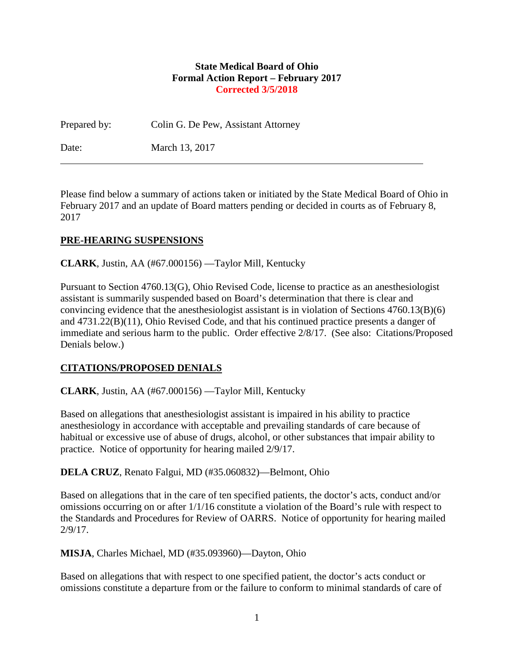#### **State Medical Board of Ohio Formal Action Report – February 2017 Corrected 3/5/2018**

Prepared by: Colin G. De Pew, Assistant Attorney

Date: March 13, 2017

Please find below a summary of actions taken or initiated by the State Medical Board of Ohio in February 2017 and an update of Board matters pending or decided in courts as of February 8, 2017

### **PRE-HEARING SUSPENSIONS**

**CLARK**, Justin, AA (#67.000156) —Taylor Mill, Kentucky

Pursuant to Section 4760.13(G), Ohio Revised Code, license to practice as an anesthesiologist assistant is summarily suspended based on Board's determination that there is clear and convincing evidence that the anesthesiologist assistant is in violation of Sections 4760.13(B)(6) and 4731.22(B)(11), Ohio Revised Code, and that his continued practice presents a danger of immediate and serious harm to the public. Order effective 2/8/17. (See also: Citations/Proposed Denials below.)

### **CITATIONS/PROPOSED DENIALS**

**CLARK**, Justin, AA (#67.000156) —Taylor Mill, Kentucky

Based on allegations that anesthesiologist assistant is impaired in his ability to practice anesthesiology in accordance with acceptable and prevailing standards of care because of habitual or excessive use of abuse of drugs, alcohol, or other substances that impair ability to practice. Notice of opportunity for hearing mailed 2/9/17.

**DELA CRUZ**, Renato Falgui, MD (#35.060832)—Belmont, Ohio

Based on allegations that in the care of ten specified patients, the doctor's acts, conduct and/or omissions occurring on or after 1/1/16 constitute a violation of the Board's rule with respect to the Standards and Procedures for Review of OARRS. Notice of opportunity for hearing mailed 2/9/17.

**MISJA**, Charles Michael, MD (#35.093960)—Dayton, Ohio

Based on allegations that with respect to one specified patient, the doctor's acts conduct or omissions constitute a departure from or the failure to conform to minimal standards of care of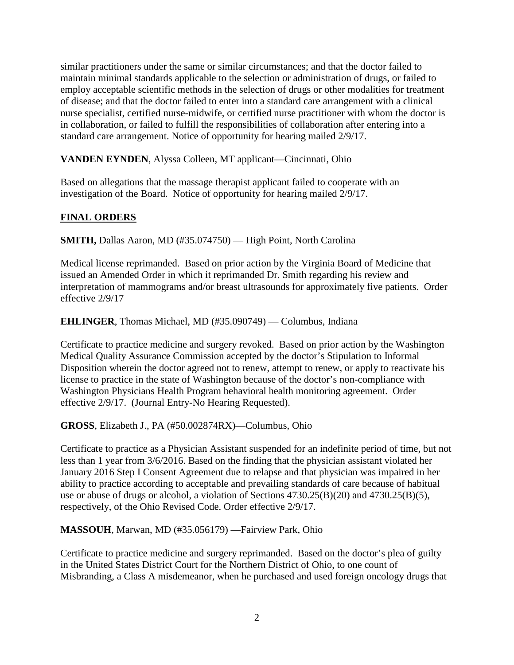similar practitioners under the same or similar circumstances; and that the doctor failed to maintain minimal standards applicable to the selection or administration of drugs, or failed to employ acceptable scientific methods in the selection of drugs or other modalities for treatment of disease; and that the doctor failed to enter into a standard care arrangement with a clinical nurse specialist, certified nurse-midwife, or certified nurse practitioner with whom the doctor is in collaboration, or failed to fulfill the responsibilities of collaboration after entering into a standard care arrangement. Notice of opportunity for hearing mailed 2/9/17.

**VANDEN EYNDEN**, Alyssa Colleen, MT applicant—Cincinnati, Ohio

Based on allegations that the massage therapist applicant failed to cooperate with an investigation of the Board. Notice of opportunity for hearing mailed 2/9/17.

# **FINAL ORDERS**

**SMITH,** Dallas Aaron, MD (#35.074750) — High Point, North Carolina

Medical license reprimanded. Based on prior action by the Virginia Board of Medicine that issued an Amended Order in which it reprimanded Dr. Smith regarding his review and interpretation of mammograms and/or breast ultrasounds for approximately five patients. Order effective 2/9/17

**EHLINGER**, Thomas Michael, MD (#35.090749) — Columbus, Indiana

Certificate to practice medicine and surgery revoked. Based on prior action by the Washington Medical Quality Assurance Commission accepted by the doctor's Stipulation to Informal Disposition wherein the doctor agreed not to renew, attempt to renew, or apply to reactivate his license to practice in the state of Washington because of the doctor's non-compliance with Washington Physicians Health Program behavioral health monitoring agreement. Order effective 2/9/17. (Journal Entry-No Hearing Requested).

**GROSS**, Elizabeth J., PA (#50.002874RX)—Columbus, Ohio

Certificate to practice as a Physician Assistant suspended for an indefinite period of time, but not less than 1 year from 3/6/2016. Based on the finding that the physician assistant violated her January 2016 Step I Consent Agreement due to relapse and that physician was impaired in her ability to practice according to acceptable and prevailing standards of care because of habitual use or abuse of drugs or alcohol, a violation of Sections 4730.25(B)(20) and 4730.25(B)(5), respectively, of the Ohio Revised Code. Order effective 2/9/17.

**MASSOUH**, Marwan, MD (#35.056179) —Fairview Park, Ohio

Certificate to practice medicine and surgery reprimanded. Based on the doctor's plea of guilty in the United States District Court for the Northern District of Ohio, to one count of Misbranding, a Class A misdemeanor, when he purchased and used foreign oncology drugs that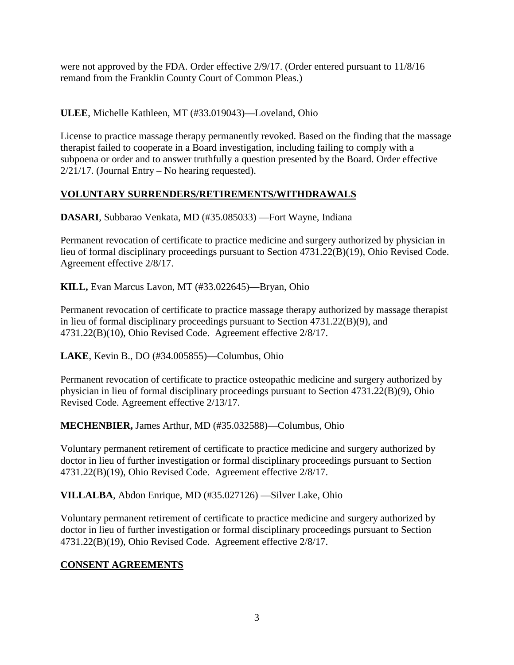were not approved by the FDA. Order effective 2/9/17. (Order entered pursuant to 11/8/16 remand from the Franklin County Court of Common Pleas.)

**ULEE**, Michelle Kathleen, MT (#33.019043)—Loveland, Ohio

License to practice massage therapy permanently revoked. Based on the finding that the massage therapist failed to cooperate in a Board investigation, including failing to comply with a subpoena or order and to answer truthfully a question presented by the Board. Order effective 2/21/17. (Journal Entry – No hearing requested).

# **VOLUNTARY SURRENDERS/RETIREMENTS/WITHDRAWALS**

**DASARI**, Subbarao Venkata, MD (#35.085033) —Fort Wayne, Indiana

Permanent revocation of certificate to practice medicine and surgery authorized by physician in lieu of formal disciplinary proceedings pursuant to Section 4731.22(B)(19), Ohio Revised Code. Agreement effective 2/8/17.

**KILL,** Evan Marcus Lavon, MT (#33.022645)—Bryan, Ohio

Permanent revocation of certificate to practice massage therapy authorized by massage therapist in lieu of formal disciplinary proceedings pursuant to Section 4731.22(B)(9), and 4731.22(B)(10), Ohio Revised Code. Agreement effective 2/8/17.

**LAKE**, Kevin B., DO (#34.005855)—Columbus, Ohio

Permanent revocation of certificate to practice osteopathic medicine and surgery authorized by physician in lieu of formal disciplinary proceedings pursuant to Section 4731.22(B)(9), Ohio Revised Code. Agreement effective 2/13/17.

**MECHENBIER,** James Arthur, MD (#35.032588)—Columbus, Ohio

Voluntary permanent retirement of certificate to practice medicine and surgery authorized by doctor in lieu of further investigation or formal disciplinary proceedings pursuant to Section 4731.22(B)(19), Ohio Revised Code. Agreement effective 2/8/17.

**VILLALBA**, Abdon Enrique, MD (#35.027126) —Silver Lake, Ohio

Voluntary permanent retirement of certificate to practice medicine and surgery authorized by doctor in lieu of further investigation or formal disciplinary proceedings pursuant to Section 4731.22(B)(19), Ohio Revised Code. Agreement effective 2/8/17.

## **CONSENT AGREEMENTS**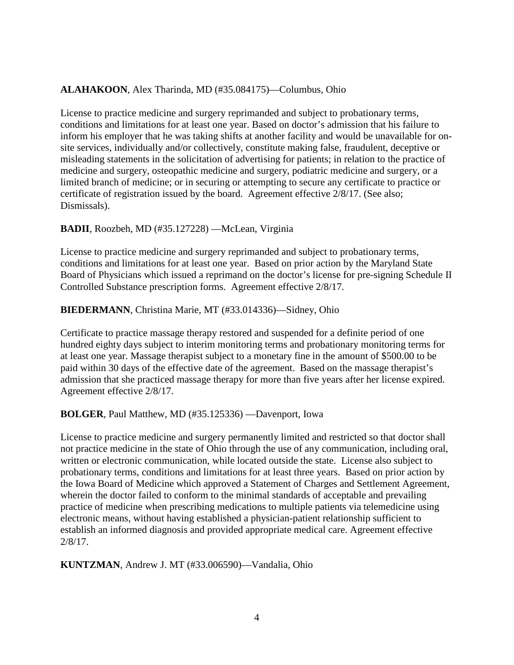### **ALAHAKOON**, Alex Tharinda, MD (#35.084175)—Columbus, Ohio

License to practice medicine and surgery reprimanded and subject to probationary terms, conditions and limitations for at least one year. Based on doctor's admission that his failure to inform his employer that he was taking shifts at another facility and would be unavailable for onsite services, individually and/or collectively, constitute making false, fraudulent, deceptive or misleading statements in the solicitation of advertising for patients; in relation to the practice of medicine and surgery, osteopathic medicine and surgery, podiatric medicine and surgery, or a limited branch of medicine; or in securing or attempting to secure any certificate to practice or certificate of registration issued by the board. Agreement effective 2/8/17. (See also; Dismissals).

### **BADII**, Roozbeh, MD (#35.127228) —McLean, Virginia

License to practice medicine and surgery reprimanded and subject to probationary terms, conditions and limitations for at least one year. Based on prior action by the Maryland State Board of Physicians which issued a reprimand on the doctor's license for pre-signing Schedule II Controlled Substance prescription forms. Agreement effective 2/8/17.

#### **BIEDERMANN**, Christina Marie, MT (#33.014336)—Sidney, Ohio

Certificate to practice massage therapy restored and suspended for a definite period of one hundred eighty days subject to interim monitoring terms and probationary monitoring terms for at least one year. Massage therapist subject to a monetary fine in the amount of \$500.00 to be paid within 30 days of the effective date of the agreement. Based on the massage therapist's admission that she practiced massage therapy for more than five years after her license expired. Agreement effective 2/8/17.

#### **BOLGER**, Paul Matthew, MD (#35.125336) —Davenport, Iowa

License to practice medicine and surgery permanently limited and restricted so that doctor shall not practice medicine in the state of Ohio through the use of any communication, including oral, written or electronic communication, while located outside the state. License also subject to probationary terms, conditions and limitations for at least three years. Based on prior action by the Iowa Board of Medicine which approved a Statement of Charges and Settlement Agreement, wherein the doctor failed to conform to the minimal standards of acceptable and prevailing practice of medicine when prescribing medications to multiple patients via telemedicine using electronic means, without having established a physician-patient relationship sufficient to establish an informed diagnosis and provided appropriate medical care. Agreement effective 2/8/17.

**KUNTZMAN**, Andrew J. MT (#33.006590)—Vandalia, Ohio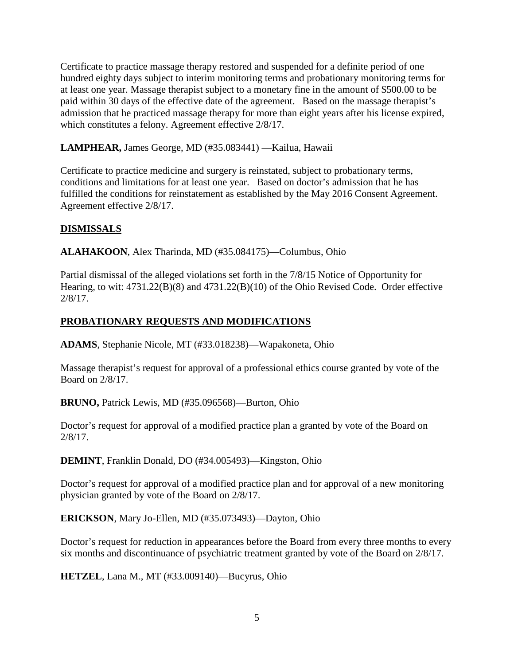Certificate to practice massage therapy restored and suspended for a definite period of one hundred eighty days subject to interim monitoring terms and probationary monitoring terms for at least one year. Massage therapist subject to a monetary fine in the amount of \$500.00 to be paid within 30 days of the effective date of the agreement. Based on the massage therapist's admission that he practiced massage therapy for more than eight years after his license expired, which constitutes a felony. Agreement effective 2/8/17.

**LAMPHEAR,** James George, MD (#35.083441) —Kailua, Hawaii

Certificate to practice medicine and surgery is reinstated, subject to probationary terms, conditions and limitations for at least one year. Based on doctor's admission that he has fulfilled the conditions for reinstatement as established by the May 2016 Consent Agreement. Agreement effective 2/8/17.

## **DISMISSALS**

**ALAHAKOON**, Alex Tharinda, MD (#35.084175)—Columbus, Ohio

Partial dismissal of the alleged violations set forth in the 7/8/15 Notice of Opportunity for Hearing, to wit: 4731.22(B)(8) and 4731.22(B)(10) of the Ohio Revised Code. Order effective 2/8/17.

# **PROBATIONARY REQUESTS AND MODIFICATIONS**

**ADAMS**, Stephanie Nicole, MT (#33.018238)—Wapakoneta, Ohio

Massage therapist's request for approval of a professional ethics course granted by vote of the Board on 2/8/17.

**BRUNO,** Patrick Lewis, MD (#35.096568)—Burton, Ohio

Doctor's request for approval of a modified practice plan a granted by vote of the Board on 2/8/17.

**DEMINT**, Franklin Donald, DO (#34.005493)—Kingston, Ohio

Doctor's request for approval of a modified practice plan and for approval of a new monitoring physician granted by vote of the Board on 2/8/17.

**ERICKSON**, Mary Jo-Ellen, MD (#35.073493)—Dayton, Ohio

Doctor's request for reduction in appearances before the Board from every three months to every six months and discontinuance of psychiatric treatment granted by vote of the Board on 2/8/17.

**HETZEL**, Lana M., MT (#33.009140)—Bucyrus, Ohio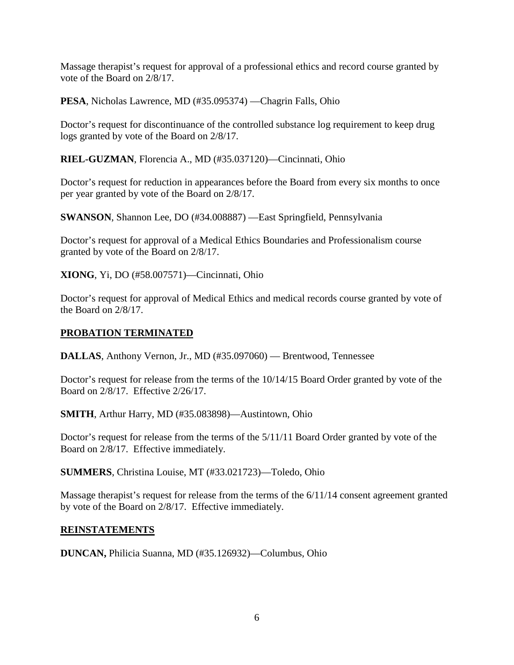Massage therapist's request for approval of a professional ethics and record course granted by vote of the Board on 2/8/17.

**PESA**, Nicholas Lawrence, MD (#35.095374) —Chagrin Falls, Ohio

Doctor's request for discontinuance of the controlled substance log requirement to keep drug logs granted by vote of the Board on 2/8/17.

**RIEL-GUZMAN**, Florencia A., MD (#35.037120)—Cincinnati, Ohio

Doctor's request for reduction in appearances before the Board from every six months to once per year granted by vote of the Board on 2/8/17.

**SWANSON**, Shannon Lee, DO (#34.008887) —East Springfield, Pennsylvania

Doctor's request for approval of a Medical Ethics Boundaries and Professionalism course granted by vote of the Board on 2/8/17.

**XIONG**, Yi, DO (#58.007571)—Cincinnati, Ohio

Doctor's request for approval of Medical Ethics and medical records course granted by vote of the Board on 2/8/17.

#### **PROBATION TERMINATED**

**DALLAS**, Anthony Vernon, Jr., MD (#35.097060) — Brentwood, Tennessee

Doctor's request for release from the terms of the 10/14/15 Board Order granted by vote of the Board on 2/8/17. Effective 2/26/17.

**SMITH**, Arthur Harry, MD (#35.083898)—Austintown, Ohio

Doctor's request for release from the terms of the 5/11/11 Board Order granted by vote of the Board on 2/8/17. Effective immediately.

**SUMMERS**, Christina Louise, MT (#33.021723)—Toledo, Ohio

Massage therapist's request for release from the terms of the 6/11/14 consent agreement granted by vote of the Board on 2/8/17. Effective immediately.

#### **REINSTATEMENTS**

**DUNCAN,** Philicia Suanna, MD (#35.126932)—Columbus, Ohio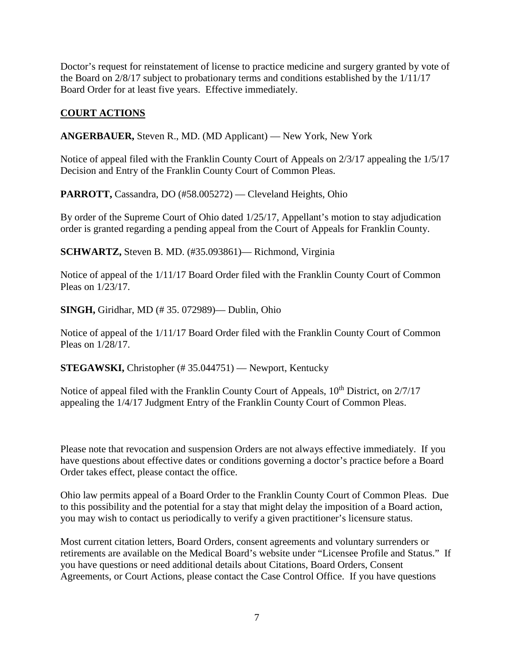Doctor's request for reinstatement of license to practice medicine and surgery granted by vote of the Board on 2/8/17 subject to probationary terms and conditions established by the 1/11/17 Board Order for at least five years. Effective immediately.

## **COURT ACTIONS**

**ANGERBAUER,** Steven R., MD. (MD Applicant) — New York, New York

Notice of appeal filed with the Franklin County Court of Appeals on 2/3/17 appealing the 1/5/17 Decision and Entry of the Franklin County Court of Common Pleas.

**PARROTT,** Cassandra, DO (#58.005272) — Cleveland Heights, Ohio

By order of the Supreme Court of Ohio dated 1/25/17, Appellant's motion to stay adjudication order is granted regarding a pending appeal from the Court of Appeals for Franklin County.

**SCHWARTZ,** Steven B. MD. (#35.093861)— Richmond, Virginia

Notice of appeal of the 1/11/17 Board Order filed with the Franklin County Court of Common Pleas on 1/23/17.

**SINGH,** Giridhar, MD (# 35. 072989)— Dublin, Ohio

Notice of appeal of the 1/11/17 Board Order filed with the Franklin County Court of Common Pleas on 1/28/17.

**STEGAWSKI, Christopher (# 35.044751) — Newport, Kentucky** 

Notice of appeal filed with the Franklin County Court of Appeals, 10<sup>th</sup> District, on 2/7/17 appealing the 1/4/17 Judgment Entry of the Franklin County Court of Common Pleas.

Please note that revocation and suspension Orders are not always effective immediately. If you have questions about effective dates or conditions governing a doctor's practice before a Board Order takes effect, please contact the office.

Ohio law permits appeal of a Board Order to the Franklin County Court of Common Pleas. Due to this possibility and the potential for a stay that might delay the imposition of a Board action, you may wish to contact us periodically to verify a given practitioner's licensure status.

Most current citation letters, Board Orders, consent agreements and voluntary surrenders or retirements are available on the Medical Board's website under "Licensee Profile and Status." If you have questions or need additional details about Citations, Board Orders, Consent Agreements, or Court Actions, please contact the Case Control Office. If you have questions